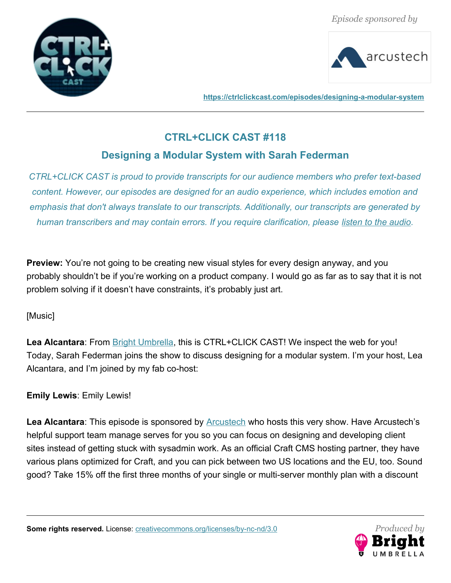



**<https://ctrlclickcast.com/episodes/designing-a-modular-system>**

# **CTRL+CLICK CAST #118**

# **Designing a Modular System with Sarah Federman**

*CTRL+CLICK CAST is proud to provide transcripts for our audience members who prefer text-based content. However, our episodes are designed for an audio experience, which includes emotion and emphasis that don't always translate to our transcripts. Additionally, our transcripts are generated by human transcribers and may contain errors. If you require clarification, please [listen to the audio.](https://ctrlclickcast.com/episodes/designing-a-modular-system)*

**Preview:** You're not going to be creating new visual styles for every design anyway, and you probably shouldn't be if you're working on a product company. I would go as far as to say that it is not problem solving if it doesn't have constraints, it's probably just art.

# [Music]

Lea Alcantara: From **Bright Umbrella**, this is CTRL+CLICK CAST! We inspect the web for you! Today, Sarah Federman joins the show to discuss designing for a modular system. I'm your host, Lea Alcantara, and I'm joined by my fab co-host:

# **Emily Lewis**: Emily Lewis!

Lea Alcantara: This episode is sponsored by **Arcustech** who hosts this very show. Have Arcustech's helpful support team manage serves for you so you can focus on designing and developing client sites instead of getting stuck with sysadmin work. As an official Craft CMS hosting partner, they have various plans optimized for Craft, and you can pick between two US locations and the EU, too. Sound good? Take 15% off the first three months of your single or multi-server monthly plan with a discount

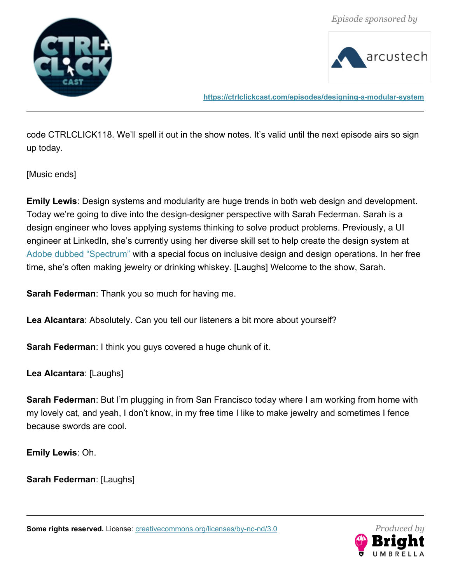



**<https://ctrlclickcast.com/episodes/designing-a-modular-system>**

code CTRLCLICK118. We'll spell it out in the show notes. It's valid until the next episode airs so sign up today.

[Music ends]

**Emily Lewis**: Design systems and modularity are huge trends in both web design and development. Today we're going to dive into the design-designer perspective with Sarah Federman. Sarah is a design engineer who loves applying systems thinking to solve product problems. Previously, a UI engineer at LinkedIn, she's currently using her diverse skill set to help create the design system at [Adobe dubbed "Spectrum"](https://theblog.adobe.com/introducing-spectrum-adobe-building-design-system-scale/) with a special focus on inclusive design and design operations. In her free time, she's often making jewelry or drinking whiskey. [Laughs] Welcome to the show, Sarah.

**Sarah Federman**: Thank you so much for having me.

**Lea Alcantara**: Absolutely. Can you tell our listeners a bit more about yourself?

**Sarah Federman**: I think you guys covered a huge chunk of it.

**Lea Alcantara**: [Laughs]

**Sarah Federman**: But I'm plugging in from San Francisco today where I am working from home with my lovely cat, and yeah, I don't know, in my free time I like to make jewelry and sometimes I fence because swords are cool.

**Emily Lewis**: Oh.

**Sarah Federman**: [Laughs]

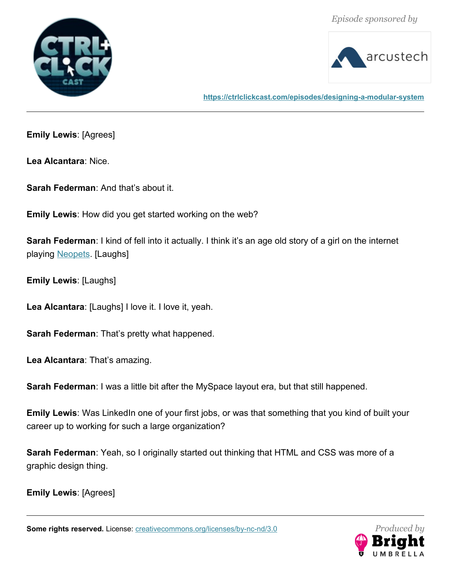



**<https://ctrlclickcast.com/episodes/designing-a-modular-system>**

**Emily Lewis**: [Agrees]

**Lea Alcantara**: Nice.

**Sarah Federman**: And that's about it.

**Emily Lewis**: How did you get started working on the web?

**Sarah Federman**: I kind of fell into it actually. I think it's an age old story of a girl on the internet playing **Neopets**. [Laughs]

**Emily Lewis**: [Laughs]

**Lea Alcantara**: [Laughs] I love it. I love it, yeah.

**Sarah Federman**: That's pretty what happened.

**Lea Alcantara**: That's amazing.

**Sarah Federman**: I was a little bit after the MySpace layout era, but that still happened.

**Emily Lewis**: Was LinkedIn one of your first jobs, or was that something that you kind of built your career up to working for such a large organization?

**Sarah Federman**: Yeah, so I originally started out thinking that HTML and CSS was more of a graphic design thing.

**Emily Lewis**: [Agrees]

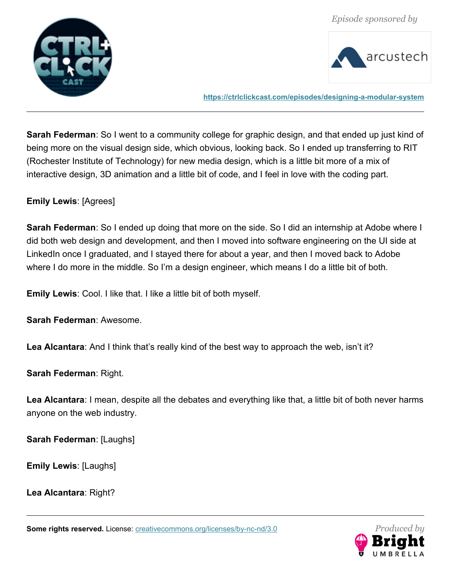



**<https://ctrlclickcast.com/episodes/designing-a-modular-system>**

**Sarah Federman**: So I went to a community college for graphic design, and that ended up just kind of being more on the visual design side, which obvious, looking back. So I ended up transferring to RIT (Rochester Institute of Technology) for new media design, which is a little bit more of a mix of interactive design, 3D animation and a little bit of code, and I feel in love with the coding part.

### **Emily Lewis**: [Agrees]

**Sarah Federman**: So I ended up doing that more on the side. So I did an internship at Adobe where I did both web design and development, and then I moved into software engineering on the UI side at LinkedIn once I graduated, and I stayed there for about a year, and then I moved back to Adobe where I do more in the middle. So I'm a design engineer, which means I do a little bit of both.

**Emily Lewis**: Cool. I like that. I like a little bit of both myself.

**Sarah Federman**: Awesome.

**Lea Alcantara**: And I think that's really kind of the best way to approach the web, isn't it?

**Sarah Federman**: Right.

**Lea Alcantara**: I mean, despite all the debates and everything like that, a little bit of both never harms anyone on the web industry.

**Sarah Federman**: [Laughs]

**Emily Lewis**: [Laughs]

**Lea Alcantara**: Right?

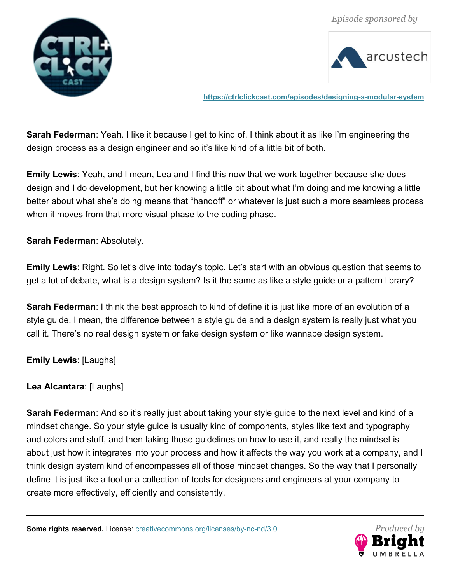



**<https://ctrlclickcast.com/episodes/designing-a-modular-system>**

**Sarah Federman**: Yeah. I like it because I get to kind of. I think about it as like I'm engineering the design process as a design engineer and so it's like kind of a little bit of both.

**Emily Lewis**: Yeah, and I mean, Lea and I find this now that we work together because she does design and I do development, but her knowing a little bit about what I'm doing and me knowing a little better about what she's doing means that "handoff" or whatever is just such a more seamless process when it moves from that more visual phase to the coding phase.

**Sarah Federman**: Absolutely.

**Emily Lewis**: Right. So let's dive into today's topic. Let's start with an obvious question that seems to get a lot of debate, what is a design system? Is it the same as like a style guide or a pattern library?

**Sarah Federman**: I think the best approach to kind of define it is just like more of an evolution of a style guide. I mean, the difference between a style guide and a design system is really just what you call it. There's no real design system or fake design system or like wannabe design system.

**Emily Lewis**: [Laughs]

**Lea Alcantara**: [Laughs]

**Sarah Federman**: And so it's really just about taking your style guide to the next level and kind of a mindset change. So your style guide is usually kind of components, styles like text and typography and colors and stuff, and then taking those guidelines on how to use it, and really the mindset is about just how it integrates into your process and how it affects the way you work at a company, and I think design system kind of encompasses all of those mindset changes. So the way that I personally define it is just like a tool or a collection of tools for designers and engineers at your company to create more effectively, efficiently and consistently.

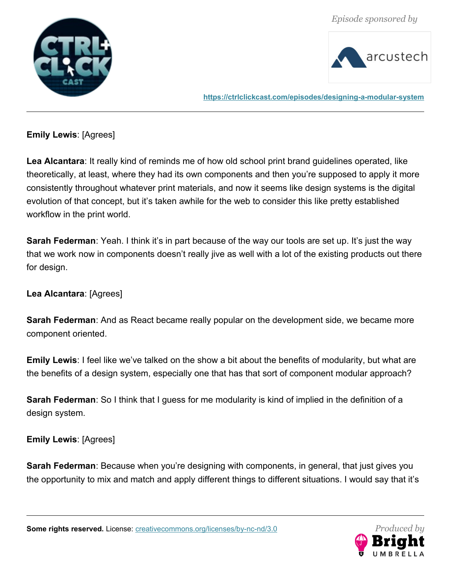



**<https://ctrlclickcast.com/episodes/designing-a-modular-system>**

**Emily Lewis**: [Agrees]

**Lea Alcantara**: It really kind of reminds me of how old school print brand guidelines operated, like theoretically, at least, where they had its own components and then you're supposed to apply it more consistently throughout whatever print materials, and now it seems like design systems is the digital evolution of that concept, but it's taken awhile for the web to consider this like pretty established workflow in the print world.

**Sarah Federman**: Yeah. I think it's in part because of the way our tools are set up. It's just the way that we work now in components doesn't really jive as well with a lot of the existing products out there for design.

**Lea Alcantara**: [Agrees]

**Sarah Federman**: And as React became really popular on the development side, we became more component oriented.

**Emily Lewis**: I feel like we've talked on the show a bit about the benefits of modularity, but what are the benefits of a design system, especially one that has that sort of component modular approach?

**Sarah Federman**: So I think that I guess for me modularity is kind of implied in the definition of a design system.

**Emily Lewis**: [Agrees]

**Sarah Federman**: Because when you're designing with components, in general, that just gives you the opportunity to mix and match and apply different things to different situations. I would say that it's

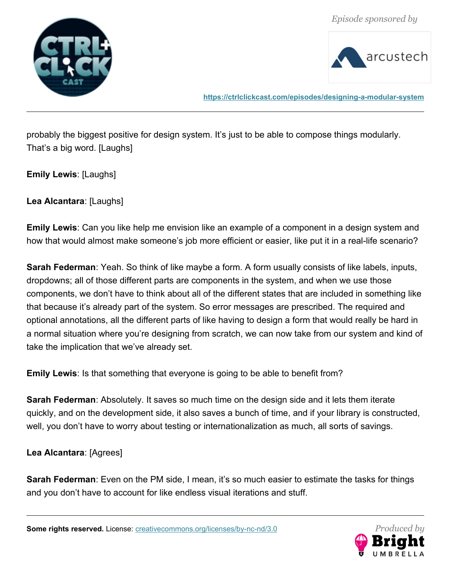



**<https://ctrlclickcast.com/episodes/designing-a-modular-system>**

probably the biggest positive for design system. It's just to be able to compose things modularly. That's a big word. [Laughs]

**Emily Lewis**: [Laughs]

**Lea Alcantara**: [Laughs]

**Emily Lewis**: Can you like help me envision like an example of a component in a design system and how that would almost make someone's job more efficient or easier, like put it in a real-life scenario?

**Sarah Federman**: Yeah. So think of like maybe a form. A form usually consists of like labels, inputs, dropdowns; all of those different parts are components in the system, and when we use those components, we don't have to think about all of the different states that are included in something like that because it's already part of the system. So error messages are prescribed. The required and optional annotations, all the different parts of like having to design a form that would really be hard in a normal situation where you're designing from scratch, we can now take from our system and kind of take the implication that we've already set.

**Emily Lewis**: Is that something that everyone is going to be able to benefit from?

**Sarah Federman**: Absolutely. It saves so much time on the design side and it lets them iterate quickly, and on the development side, it also saves a bunch of time, and if your library is constructed, well, you don't have to worry about testing or internationalization as much, all sorts of savings.

**Lea Alcantara**: [Agrees]

**Sarah Federman**: Even on the PM side, I mean, it's so much easier to estimate the tasks for things and you don't have to account for like endless visual iterations and stuff.

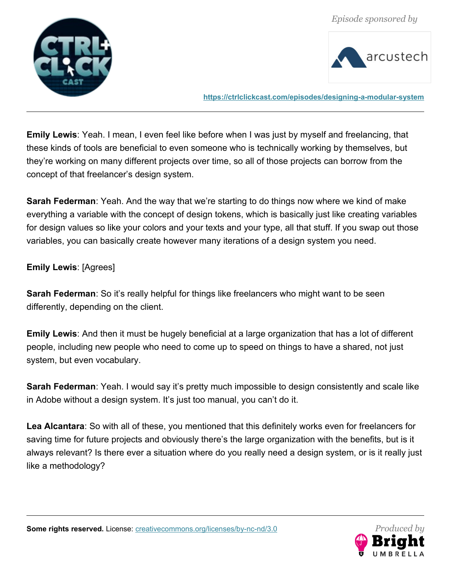



**<https://ctrlclickcast.com/episodes/designing-a-modular-system>**

**Emily Lewis**: Yeah. I mean, I even feel like before when I was just by myself and freelancing, that these kinds of tools are beneficial to even someone who is technically working by themselves, but they're working on many different projects over time, so all of those projects can borrow from the concept of that freelancer's design system.

**Sarah Federman**: Yeah. And the way that we're starting to do things now where we kind of make everything a variable with the concept of design tokens, which is basically just like creating variables for design values so like your colors and your texts and your type, all that stuff. If you swap out those variables, you can basically create however many iterations of a design system you need.

**Emily Lewis**: [Agrees]

**Sarah Federman**: So it's really helpful for things like freelancers who might want to be seen differently, depending on the client.

**Emily Lewis**: And then it must be hugely beneficial at a large organization that has a lot of different people, including new people who need to come up to speed on things to have a shared, not just system, but even vocabulary.

**Sarah Federman**: Yeah. I would say it's pretty much impossible to design consistently and scale like in Adobe without a design system. It's just too manual, you can't do it.

**Lea Alcantara**: So with all of these, you mentioned that this definitely works even for freelancers for saving time for future projects and obviously there's the large organization with the benefits, but is it always relevant? Is there ever a situation where do you really need a design system, or is it really just like a methodology?

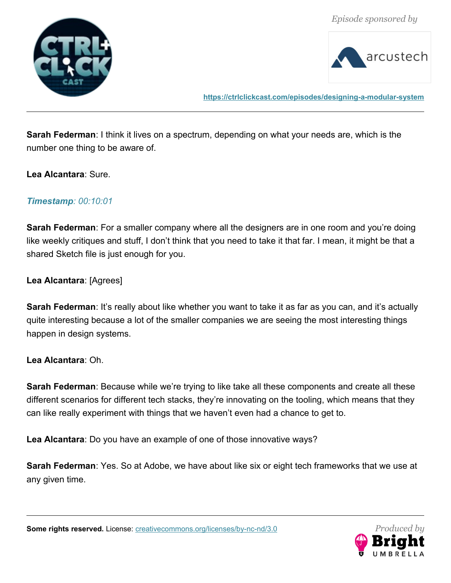



**<https://ctrlclickcast.com/episodes/designing-a-modular-system>**

**Sarah Federman**: I think it lives on a spectrum, depending on what your needs are, which is the number one thing to be aware of.

**Lea Alcantara**: Sure.

#### *Timestamp: 00:10:01*

**Sarah Federman**: For a smaller company where all the designers are in one room and you're doing like weekly critiques and stuff, I don't think that you need to take it that far. I mean, it might be that a shared Sketch file is just enough for you.

**Lea Alcantara**: [Agrees]

**Sarah Federman**: It's really about like whether you want to take it as far as you can, and it's actually quite interesting because a lot of the smaller companies we are seeing the most interesting things happen in design systems.

**Lea Alcantara**: Oh.

**Sarah Federman**: Because while we're trying to like take all these components and create all these different scenarios for different tech stacks, they're innovating on the tooling, which means that they can like really experiment with things that we haven't even had a chance to get to.

**Lea Alcantara**: Do you have an example of one of those innovative ways?

**Sarah Federman**: Yes. So at Adobe, we have about like six or eight tech frameworks that we use at any given time.

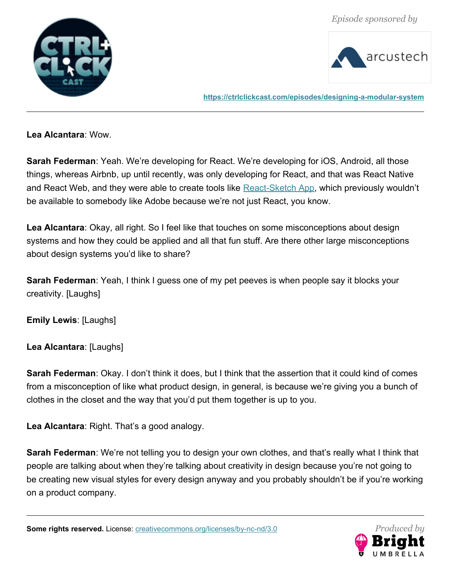

**<https://ctrlclickcast.com/episodes/designing-a-modular-system>**

**Lea Alcantara**: Wow.

**Sarah Federman**: Yeah. We're developing for React. We're developing for iOS, Android, all those things, whereas Airbnb, up until recently, was only developing for React, and that was React Native and React Web, and they were able to create tools like [React-Sketch App,](https://github.com/airbnb/react-sketchapp) which previously wouldn't be available to somebody like Adobe because we're not just React, you know.

**Lea Alcantara**: Okay, all right. So I feel like that touches on some misconceptions about design systems and how they could be applied and all that fun stuff. Are there other large misconceptions about design systems you'd like to share?

**Sarah Federman**: Yeah, I think I guess one of my pet peeves is when people say it blocks your creativity. [Laughs]

**Emily Lewis**: [Laughs]

**Lea Alcantara**: [Laughs]

**Sarah Federman**: Okay. I don't think it does, but I think that the assertion that it could kind of comes from a misconception of like what product design, in general, is because we're giving you a bunch of clothes in the closet and the way that you'd put them together is up to you.

**Lea Alcantara**: Right. That's a good analogy.

**Sarah Federman**: We're not telling you to design your own clothes, and that's really what I think that people are talking about when they're talking about creativity in design because you're not going to be creating new visual styles for every design anyway and you probably shouldn't be if you're working on a product company.

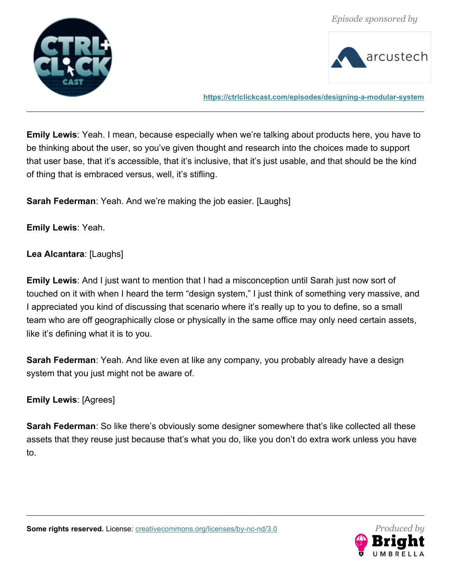



**<https://ctrlclickcast.com/episodes/designing-a-modular-system>**

**Emily Lewis**: Yeah. I mean, because especially when we're talking about products here, you have to be thinking about the user, so you've given thought and research into the choices made to support that user base, that it's accessible, that it's inclusive, that it's just usable, and that should be the kind of thing that is embraced versus, well, it's stifling.

**Sarah Federman**: Yeah. And we're making the job easier. [Laughs]

**Emily Lewis**: Yeah.

**Lea Alcantara**: [Laughs]

**Emily Lewis**: And I just want to mention that I had a misconception until Sarah just now sort of touched on it with when I heard the term "design system," I just think of something very massive, and I appreciated you kind of discussing that scenario where it's really up to you to define, so a small team who are off geographically close or physically in the same office may only need certain assets, like it's defining what it is to you.

**Sarah Federman**: Yeah. And like even at like any company, you probably already have a design system that you just might not be aware of.

**Emily Lewis**: [Agrees]

**Sarah Federman**: So like there's obviously some designer somewhere that's like collected all these assets that they reuse just because that's what you do, like you don't do extra work unless you have to.

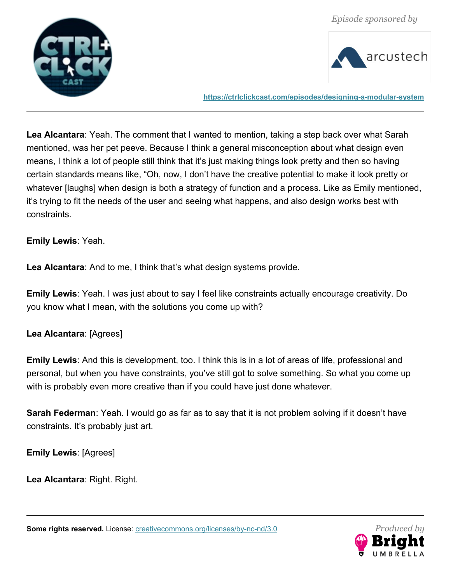



**<https://ctrlclickcast.com/episodes/designing-a-modular-system>**

**Lea Alcantara**: Yeah. The comment that I wanted to mention, taking a step back over what Sarah mentioned, was her pet peeve. Because I think a general misconception about what design even means, I think a lot of people still think that it's just making things look pretty and then so having certain standards means like, "Oh, now, I don't have the creative potential to make it look pretty or whatever [laughs] when design is both a strategy of function and a process. Like as Emily mentioned, it's trying to fit the needs of the user and seeing what happens, and also design works best with constraints.

### **Emily Lewis**: Yeah.

**Lea Alcantara**: And to me, I think that's what design systems provide.

**Emily Lewis**: Yeah. I was just about to say I feel like constraints actually encourage creativity. Do you know what I mean, with the solutions you come up with?

# **Lea Alcantara**: [Agrees]

**Emily Lewis**: And this is development, too. I think this is in a lot of areas of life, professional and personal, but when you have constraints, you've still got to solve something. So what you come up with is probably even more creative than if you could have just done whatever.

**Sarah Federman**: Yeah. I would go as far as to say that it is not problem solving if it doesn't have constraints. It's probably just art.

**Emily Lewis**: [Agrees]

**Lea Alcantara**: Right. Right.

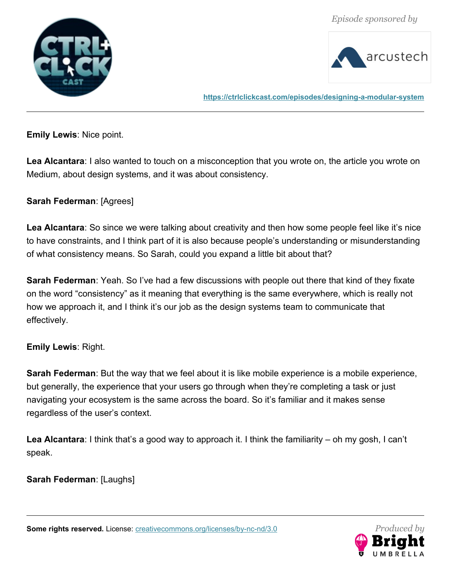



**<https://ctrlclickcast.com/episodes/designing-a-modular-system>**

**Emily Lewis**: Nice point.

**Lea Alcantara**: I also wanted to touch on a misconception that you wrote on, the article you wrote on Medium, about design systems, and it was about consistency.

**Sarah Federman**: [Agrees]

**Lea Alcantara**: So since we were talking about creativity and then how some people feel like it's nice to have constraints, and I think part of it is also because people's understanding or misunderstanding of what consistency means. So Sarah, could you expand a little bit about that?

**Sarah Federman**: Yeah. So I've had a few discussions with people out there that kind of they fixate on the word "consistency" as it meaning that everything is the same everywhere, which is really not how we approach it, and I think it's our job as the design systems team to communicate that effectively.

**Emily Lewis**: Right.

**Sarah Federman**: But the way that we feel about it is like mobile experience is a mobile experience, but generally, the experience that your users go through when they're completing a task or just navigating your ecosystem is the same across the board. So it's familiar and it makes sense regardless of the user's context.

**Lea Alcantara**: I think that's a good way to approach it. I think the familiarity – oh my gosh, I can't speak.

**Sarah Federman**: [Laughs]

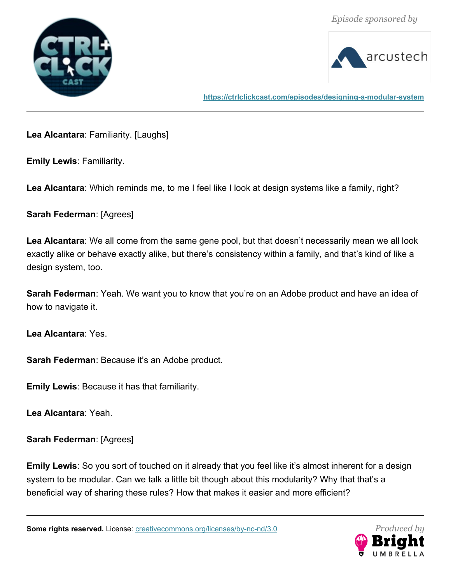



**<https://ctrlclickcast.com/episodes/designing-a-modular-system>**

**Lea Alcantara**: Familiarity. [Laughs]

**Emily Lewis**: Familiarity.

**Lea Alcantara**: Which reminds me, to me I feel like I look at design systems like a family, right?

**Sarah Federman**: [Agrees]

**Lea Alcantara**: We all come from the same gene pool, but that doesn't necessarily mean we all look exactly alike or behave exactly alike, but there's consistency within a family, and that's kind of like a design system, too.

**Sarah Federman**: Yeah. We want you to know that you're on an Adobe product and have an idea of how to navigate it.

**Lea Alcantara**: Yes.

**Sarah Federman**: Because it's an Adobe product.

**Emily Lewis**: Because it has that familiarity.

**Lea Alcantara**: Yeah.

**Sarah Federman**: [Agrees]

**Emily Lewis**: So you sort of touched on it already that you feel like it's almost inherent for a design system to be modular. Can we talk a little bit though about this modularity? Why that that's a beneficial way of sharing these rules? How that makes it easier and more efficient?

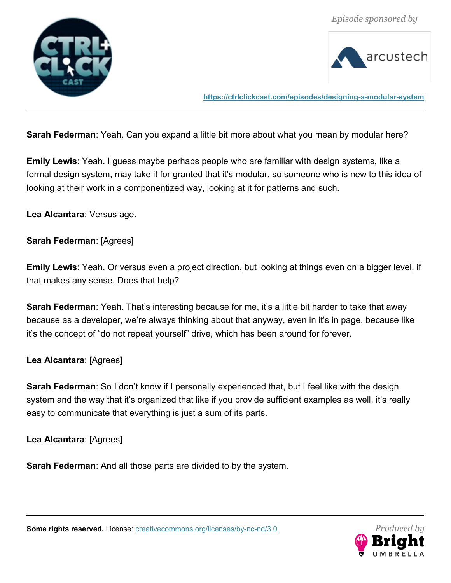



**<https://ctrlclickcast.com/episodes/designing-a-modular-system>**

**Sarah Federman**: Yeah. Can you expand a little bit more about what you mean by modular here?

**Emily Lewis**: Yeah. I guess maybe perhaps people who are familiar with design systems, like a formal design system, may take it for granted that it's modular, so someone who is new to this idea of looking at their work in a componentized way, looking at it for patterns and such.

**Lea Alcantara**: Versus age.

**Sarah Federman**: [Agrees]

**Emily Lewis**: Yeah. Or versus even a project direction, but looking at things even on a bigger level, if that makes any sense. Does that help?

**Sarah Federman**: Yeah. That's interesting because for me, it's a little bit harder to take that away because as a developer, we're always thinking about that anyway, even in it's in page, because like it's the concept of "do not repeat yourself" drive, which has been around for forever.

**Lea Alcantara**: [Agrees]

**Sarah Federman**: So I don't know if I personally experienced that, but I feel like with the design system and the way that it's organized that like if you provide sufficient examples as well, it's really easy to communicate that everything is just a sum of its parts.

**Lea Alcantara**: [Agrees]

**Sarah Federman**: And all those parts are divided to by the system.

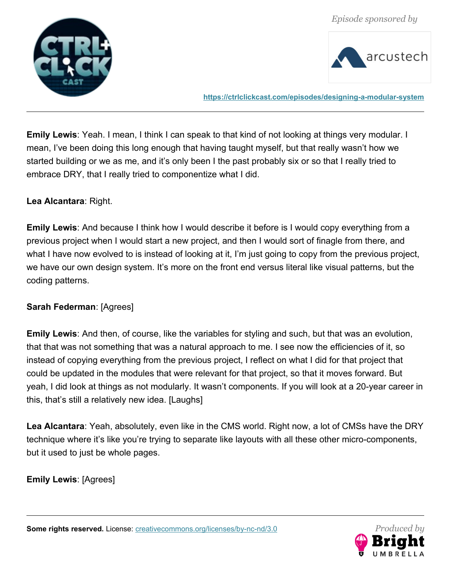



**<https://ctrlclickcast.com/episodes/designing-a-modular-system>**

**Emily Lewis**: Yeah. I mean, I think I can speak to that kind of not looking at things very modular. I mean, I've been doing this long enough that having taught myself, but that really wasn't how we started building or we as me, and it's only been I the past probably six or so that I really tried to embrace DRY, that I really tried to componentize what I did.

**Lea Alcantara**: Right.

**Emily Lewis**: And because I think how I would describe it before is I would copy everything from a previous project when I would start a new project, and then I would sort of finagle from there, and what I have now evolved to is instead of looking at it, I'm just going to copy from the previous project, we have our own design system. It's more on the front end versus literal like visual patterns, but the coding patterns.

# **Sarah Federman**: [Agrees]

**Emily Lewis**: And then, of course, like the variables for styling and such, but that was an evolution, that that was not something that was a natural approach to me. I see now the efficiencies of it, so instead of copying everything from the previous project, I reflect on what I did for that project that could be updated in the modules that were relevant for that project, so that it moves forward. But yeah, I did look at things as not modularly. It wasn't components. If you will look at a 20-year career in this, that's still a relatively new idea. [Laughs]

**Lea Alcantara**: Yeah, absolutely, even like in the CMS world. Right now, a lot of CMSs have the DRY technique where it's like you're trying to separate like layouts with all these other micro-components, but it used to just be whole pages.

**Emily Lewis**: [Agrees]

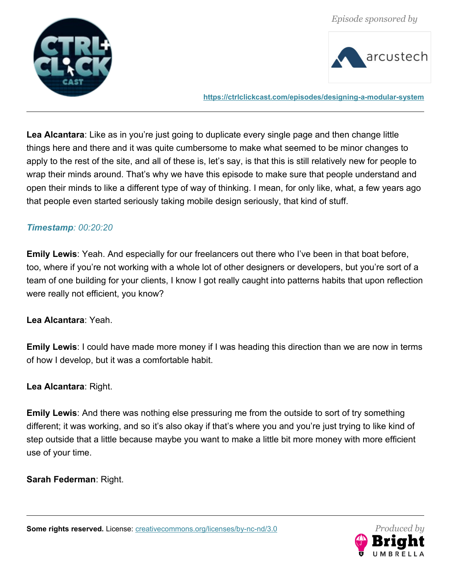



**<https://ctrlclickcast.com/episodes/designing-a-modular-system>**

**Lea Alcantara**: Like as in you're just going to duplicate every single page and then change little things here and there and it was quite cumbersome to make what seemed to be minor changes to apply to the rest of the site, and all of these is, let's say, is that this is still relatively new for people to wrap their minds around. That's why we have this episode to make sure that people understand and open their minds to like a different type of way of thinking. I mean, for only like, what, a few years ago that people even started seriously taking mobile design seriously, that kind of stuff.

### *Timestamp: 00:20:20*

**Emily Lewis**: Yeah. And especially for our freelancers out there who I've been in that boat before, too, where if you're not working with a whole lot of other designers or developers, but you're sort of a team of one building for your clients, I know I got really caught into patterns habits that upon reflection were really not efficient, you know?

#### **Lea Alcantara**: Yeah.

**Emily Lewis**: I could have made more money if I was heading this direction than we are now in terms of how I develop, but it was a comfortable habit.

#### **Lea Alcantara**: Right.

**Emily Lewis**: And there was nothing else pressuring me from the outside to sort of try something different; it was working, and so it's also okay if that's where you and you're just trying to like kind of step outside that a little because maybe you want to make a little bit more money with more efficient use of your time.

# **Sarah Federman**: Right.

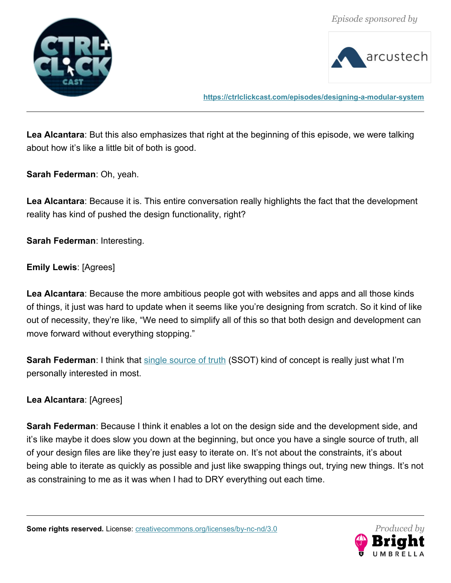



**<https://ctrlclickcast.com/episodes/designing-a-modular-system>**

**Lea Alcantara**: But this also emphasizes that right at the beginning of this episode, we were talking about how it's like a little bit of both is good.

**Sarah Federman**: Oh, yeah.

**Lea Alcantara**: Because it is. This entire conversation really highlights the fact that the development reality has kind of pushed the design functionality, right?

**Sarah Federman**: Interesting.

**Emily Lewis**: [Agrees]

**Lea Alcantara**: Because the more ambitious people got with websites and apps and all those kinds of things, it just was hard to update when it seems like you're designing from scratch. So it kind of like out of necessity, they're like, "We need to simplify all of this so that both design and development can move forward without everything stopping."

**Sarah Federman**: I think that [single source of truth](https://en.wikipedia.org/wiki/Single_source_of_truth) (SSOT) kind of concept is really just what I'm personally interested in most.

**Lea Alcantara**: [Agrees]

**Sarah Federman**: Because I think it enables a lot on the design side and the development side, and it's like maybe it does slow you down at the beginning, but once you have a single source of truth, all of your design files are like they're just easy to iterate on. It's not about the constraints, it's about being able to iterate as quickly as possible and just like swapping things out, trying new things. It's not as constraining to me as it was when I had to DRY everything out each time.

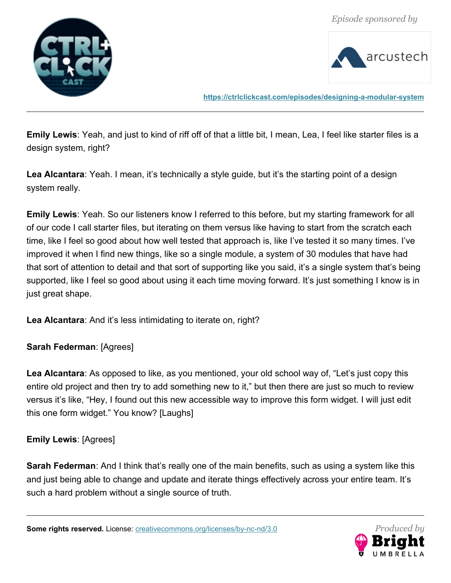



**<https://ctrlclickcast.com/episodes/designing-a-modular-system>**

**Emily Lewis**: Yeah, and just to kind of riff off of that a little bit, I mean, Lea, I feel like starter files is a design system, right?

**Lea Alcantara**: Yeah. I mean, it's technically a style guide, but it's the starting point of a design system really.

**Emily Lewis**: Yeah. So our listeners know I referred to this before, but my starting framework for all of our code I call starter files, but iterating on them versus like having to start from the scratch each time, like I feel so good about how well tested that approach is, like I've tested it so many times. I've improved it when I find new things, like so a single module, a system of 30 modules that have had that sort of attention to detail and that sort of supporting like you said, it's a single system that's being supported, like I feel so good about using it each time moving forward. It's just something I know is in just great shape.

**Lea Alcantara**: And it's less intimidating to iterate on, right?

**Sarah Federman**: [Agrees]

**Lea Alcantara**: As opposed to like, as you mentioned, your old school way of, "Let's just copy this entire old project and then try to add something new to it," but then there are just so much to review versus it's like, "Hey, I found out this new accessible way to improve this form widget. I will just edit this one form widget." You know? [Laughs]

# **Emily Lewis**: [Agrees]

**Sarah Federman**: And I think that's really one of the main benefits, such as using a system like this and just being able to change and update and iterate things effectively across your entire team. It's such a hard problem without a single source of truth.

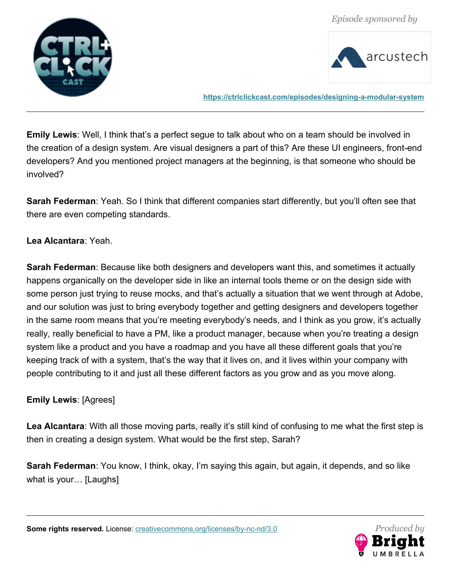



**<https://ctrlclickcast.com/episodes/designing-a-modular-system>**

**Emily Lewis**: Well, I think that's a perfect segue to talk about who on a team should be involved in the creation of a design system. Are visual designers a part of this? Are these UI engineers, front-end developers? And you mentioned project managers at the beginning, is that someone who should be involved?

**Sarah Federman**: Yeah. So I think that different companies start differently, but you'll often see that there are even competing standards.

### **Lea Alcantara**: Yeah.

**Sarah Federman**: Because like both designers and developers want this, and sometimes it actually happens organically on the developer side in like an internal tools theme or on the design side with some person just trying to reuse mocks, and that's actually a situation that we went through at Adobe, and our solution was just to bring everybody together and getting designers and developers together in the same room means that you're meeting everybody's needs, and I think as you grow, it's actually really, really beneficial to have a PM, like a product manager, because when you're treating a design system like a product and you have a roadmap and you have all these different goals that you're keeping track of with a system, that's the way that it lives on, and it lives within your company with people contributing to it and just all these different factors as you grow and as you move along.

# **Emily Lewis**: [Agrees]

**Lea Alcantara**: With all those moving parts, really it's still kind of confusing to me what the first step is then in creating a design system. What would be the first step, Sarah?

**Sarah Federman**: You know, I think, okay, I'm saying this again, but again, it depends, and so like what is your… [Laughs]

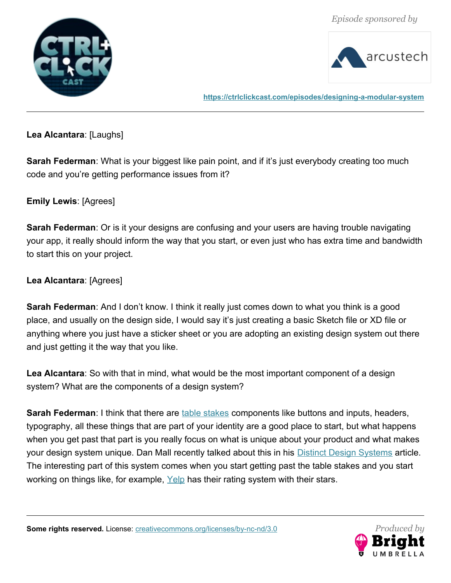



**<https://ctrlclickcast.com/episodes/designing-a-modular-system>**

**Lea Alcantara**: [Laughs]

**Sarah Federman**: What is your biggest like pain point, and if it's just everybody creating too much code and you're getting performance issues from it?

**Emily Lewis**: [Agrees]

**Sarah Federman**: Or is it your designs are confusing and your users are having trouble navigating your app, it really should inform the way that you start, or even just who has extra time and bandwidth to start this on your project.

# **Lea Alcantara**: [Agrees]

**Sarah Federman**: And I don't know. I think it really just comes down to what you think is a good place, and usually on the design side, I would say it's just creating a basic Sketch file or XD file or anything where you just have a sticker sheet or you are adopting an existing design system out there and just getting it the way that you like.

**Lea Alcantara**: So with that in mind, what would be the most important component of a design system? What are the components of a design system?

**Sarah Federman**: I think that there are [table stakes](http://www.uxbooth.com/articles/discovering-table-stakes-delighters/) components like buttons and inputs, headers, typography, all these things that are part of your identity are a good place to start, but what happens when you get past that part is you really focus on what is unique about your product and what makes your design system unique. Dan Mall recently talked about this in his **Distinct Design Systems** article. The interesting part of this system comes when you start getting past the table stakes and you start working on things like, for example,  $YeIp$  has their rating system with their stars.

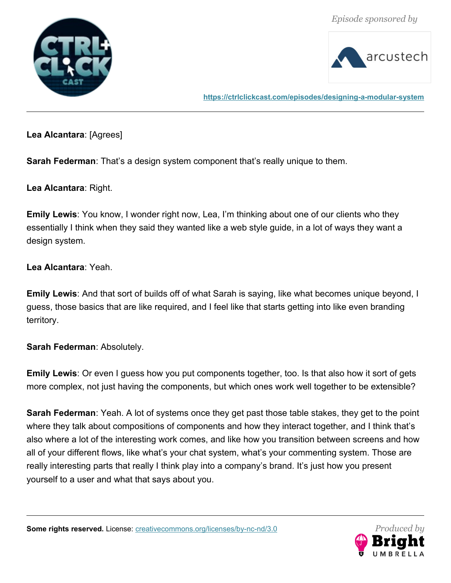



**<https://ctrlclickcast.com/episodes/designing-a-modular-system>**

**Lea Alcantara**: [Agrees]

**Sarah Federman**: That's a design system component that's really unique to them.

**Lea Alcantara**: Right.

**Emily Lewis**: You know, I wonder right now, Lea, I'm thinking about one of our clients who they essentially I think when they said they wanted like a web style guide, in a lot of ways they want a design system.

**Lea Alcantara**: Yeah.

**Emily Lewis**: And that sort of builds off of what Sarah is saying, like what becomes unique beyond, I guess, those basics that are like required, and I feel like that starts getting into like even branding territory.

**Sarah Federman**: Absolutely.

**Emily Lewis**: Or even I guess how you put components together, too. Is that also how it sort of gets more complex, not just having the components, but which ones work well together to be extensible?

**Sarah Federman**: Yeah. A lot of systems once they get past those table stakes, they get to the point where they talk about compositions of components and how they interact together, and I think that's also where a lot of the interesting work comes, and like how you transition between screens and how all of your different flows, like what's your chat system, what's your commenting system. Those are really interesting parts that really I think play into a company's brand. It's just how you present yourself to a user and what that says about you.

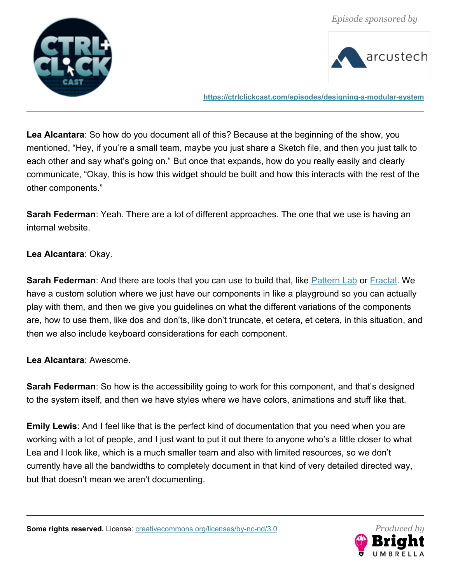



**<https://ctrlclickcast.com/episodes/designing-a-modular-system>**

**Lea Alcantara**: So how do you document all of this? Because at the beginning of the show, you mentioned, "Hey, if you're a small team, maybe you just share a Sketch file, and then you just talk to each other and say what's going on." But once that expands, how do you really easily and clearly communicate, "Okay, this is how this widget should be built and how this interacts with the rest of the other components."

**Sarah Federman**: Yeah. There are a lot of different approaches. The one that we use is having an internal website.

# **Lea Alcantara**: Okay.

**Sarah Federman**: And there are tools that you can use to build that, like **Pattern Lab or Fractal**. We have a custom solution where we just have our components in like a playground so you can actually play with them, and then we give you guidelines on what the different variations of the components are, how to use them, like dos and don'ts, like don't truncate, et cetera, et cetera, in this situation, and then we also include keyboard considerations for each component.

#### **Lea Alcantara**: Awesome.

**Sarah Federman**: So how is the accessibility going to work for this component, and that's designed to the system itself, and then we have styles where we have colors, animations and stuff like that.

**Emily Lewis**: And I feel like that is the perfect kind of documentation that you need when you are working with a lot of people, and I just want to put it out there to anyone who's a little closer to what Lea and I look like, which is a much smaller team and also with limited resources, so we don't currently have all the bandwidths to completely document in that kind of very detailed directed way, but that doesn't mean we aren't documenting.

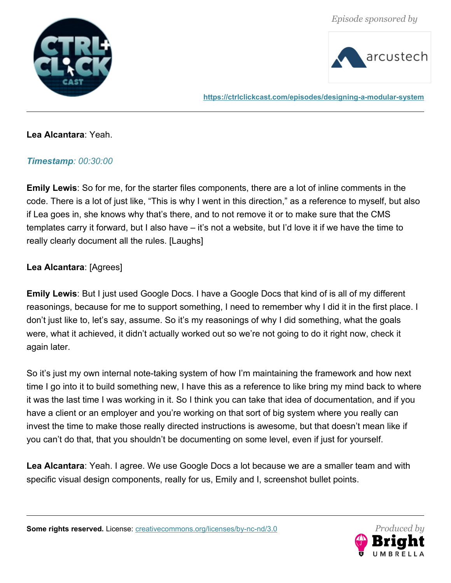



**<https://ctrlclickcast.com/episodes/designing-a-modular-system>**

# **Lea Alcantara**: Yeah.

# *Timestamp: 00:30:00*

**Emily Lewis**: So for me, for the starter files components, there are a lot of inline comments in the code. There is a lot of just like, "This is why I went in this direction," as a reference to myself, but also if Lea goes in, she knows why that's there, and to not remove it or to make sure that the CMS templates carry it forward, but I also have – it's not a website, but I'd love it if we have the time to really clearly document all the rules. [Laughs]

# **Lea Alcantara**: [Agrees]

**Emily Lewis**: But I just used Google Docs. I have a Google Docs that kind of is all of my different reasonings, because for me to support something, I need to remember why I did it in the first place. I don't just like to, let's say, assume. So it's my reasonings of why I did something, what the goals were, what it achieved, it didn't actually worked out so we're not going to do it right now, check it again later.

So it's just my own internal note-taking system of how I'm maintaining the framework and how next time I go into it to build something new, I have this as a reference to like bring my mind back to where it was the last time I was working in it. So I think you can take that idea of documentation, and if you have a client or an employer and you're working on that sort of big system where you really can invest the time to make those really directed instructions is awesome, but that doesn't mean like if you can't do that, that you shouldn't be documenting on some level, even if just for yourself.

**Lea Alcantara**: Yeah. I agree. We use Google Docs a lot because we are a smaller team and with specific visual design components, really for us, Emily and I, screenshot bullet points.

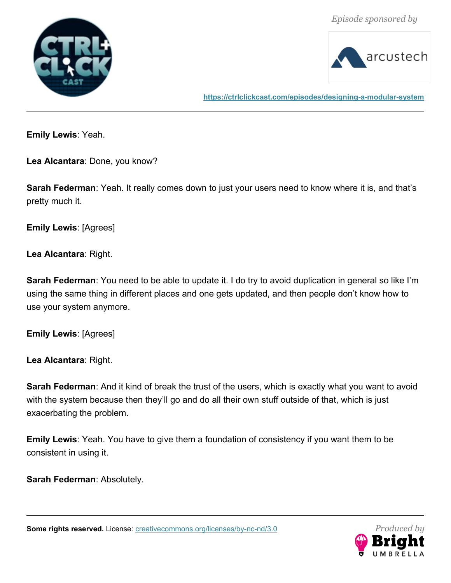



**<https://ctrlclickcast.com/episodes/designing-a-modular-system>**

**Emily Lewis**: Yeah.

**Lea Alcantara**: Done, you know?

**Sarah Federman**: Yeah. It really comes down to just your users need to know where it is, and that's pretty much it.

**Emily Lewis**: [Agrees]

**Lea Alcantara**: Right.

**Sarah Federman**: You need to be able to update it. I do try to avoid duplication in general so like I'm using the same thing in different places and one gets updated, and then people don't know how to use your system anymore.

**Emily Lewis**: [Agrees]

**Lea Alcantara**: Right.

**Sarah Federman**: And it kind of break the trust of the users, which is exactly what you want to avoid with the system because then they'll go and do all their own stuff outside of that, which is just exacerbating the problem.

**Emily Lewis**: Yeah. You have to give them a foundation of consistency if you want them to be consistent in using it.

**Sarah Federman**: Absolutely.

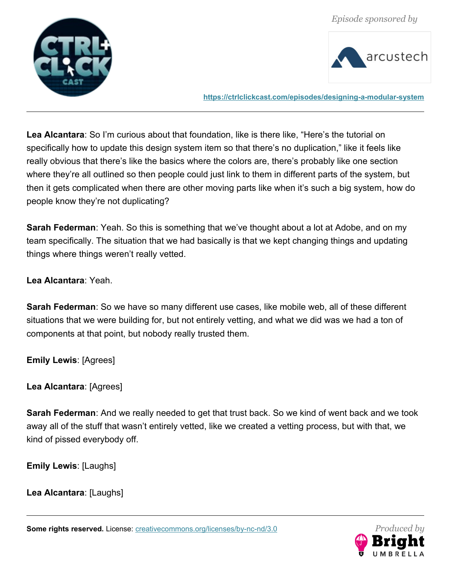

**<https://ctrlclickcast.com/episodes/designing-a-modular-system>**

Lea Alcantara: So I'm curious about that foundation, like is there like, "Here's the tutorial on specifically how to update this design system item so that there's no duplication," like it feels like really obvious that there's like the basics where the colors are, there's probably like one section where they're all outlined so then people could just link to them in different parts of the system, but then it gets complicated when there are other moving parts like when it's such a big system, how do people know they're not duplicating?

**Sarah Federman**: Yeah. So this is something that we've thought about a lot at Adobe, and on my team specifically. The situation that we had basically is that we kept changing things and updating things where things weren't really vetted.

**Lea Alcantara**: Yeah.

**Sarah Federman**: So we have so many different use cases, like mobile web, all of these different situations that we were building for, but not entirely vetting, and what we did was we had a ton of components at that point, but nobody really trusted them.

**Emily Lewis**: [Agrees]

**Lea Alcantara**: [Agrees]

**Sarah Federman**: And we really needed to get that trust back. So we kind of went back and we took away all of the stuff that wasn't entirely vetted, like we created a vetting process, but with that, we kind of pissed everybody off.

**Emily Lewis**: [Laughs]

**Lea Alcantara**: [Laughs]

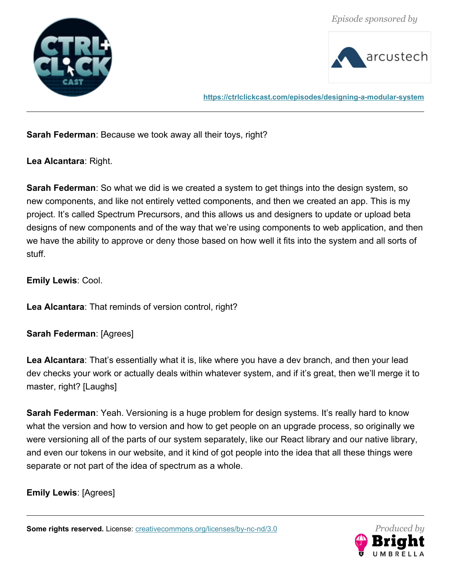





**<https://ctrlclickcast.com/episodes/designing-a-modular-system>**

**Sarah Federman**: Because we took away all their toys, right?

**Lea Alcantara**: Right.

**Sarah Federman**: So what we did is we created a system to get things into the design system, so new components, and like not entirely vetted components, and then we created an app. This is my project. It's called Spectrum Precursors, and this allows us and designers to update or upload beta designs of new components and of the way that we're using components to web application, and then we have the ability to approve or deny those based on how well it fits into the system and all sorts of stuff.

**Emily Lewis**: Cool.

**Lea Alcantara**: That reminds of version control, right?

**Sarah Federman**: [Agrees]

**Lea Alcantara**: That's essentially what it is, like where you have a dev branch, and then your lead dev checks your work or actually deals within whatever system, and if it's great, then we'll merge it to master, right? [Laughs]

**Sarah Federman**: Yeah. Versioning is a huge problem for design systems. It's really hard to know what the version and how to version and how to get people on an upgrade process, so originally we were versioning all of the parts of our system separately, like our React library and our native library, and even our tokens in our website, and it kind of got people into the idea that all these things were separate or not part of the idea of spectrum as a whole.

**Emily Lewis**: [Agrees]

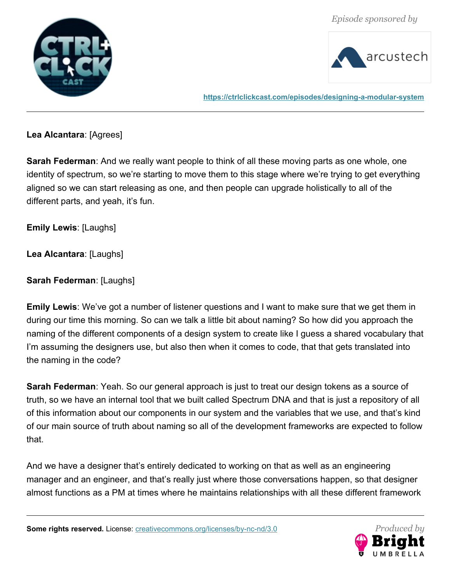

**<https://ctrlclickcast.com/episodes/designing-a-modular-system>**

**Lea Alcantara**: [Agrees]

**Sarah Federman**: And we really want people to think of all these moving parts as one whole, one identity of spectrum, so we're starting to move them to this stage where we're trying to get everything aligned so we can start releasing as one, and then people can upgrade holistically to all of the different parts, and yeah, it's fun.

**Emily Lewis**: [Laughs]

**Lea Alcantara**: [Laughs]

**Sarah Federman**: [Laughs]

**Emily Lewis**: We've got a number of listener questions and I want to make sure that we get them in during our time this morning. So can we talk a little bit about naming? So how did you approach the naming of the different components of a design system to create like I guess a shared vocabulary that I'm assuming the designers use, but also then when it comes to code, that that gets translated into the naming in the code?

**Sarah Federman**: Yeah. So our general approach is just to treat our design tokens as a source of truth, so we have an internal tool that we built called Spectrum DNA and that is just a repository of all of this information about our components in our system and the variables that we use, and that's kind of our main source of truth about naming so all of the development frameworks are expected to follow that.

And we have a designer that's entirely dedicated to working on that as well as an engineering manager and an engineer, and that's really just where those conversations happen, so that designer almost functions as a PM at times where he maintains relationships with all these different framework

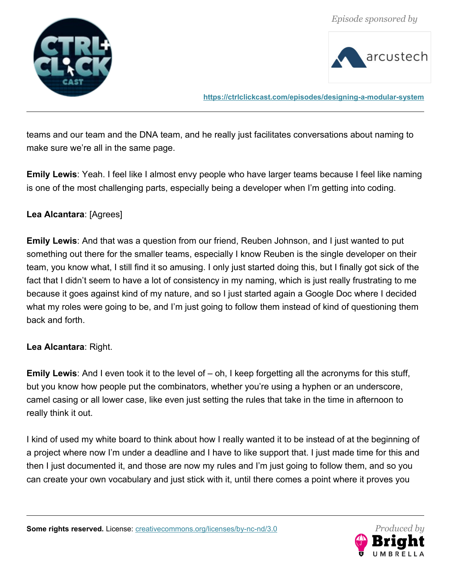



**<https://ctrlclickcast.com/episodes/designing-a-modular-system>**

teams and our team and the DNA team, and he really just facilitates conversations about naming to make sure we're all in the same page.

**Emily Lewis**: Yeah. I feel like I almost envy people who have larger teams because I feel like naming is one of the most challenging parts, especially being a developer when I'm getting into coding.

# **Lea Alcantara**: [Agrees]

**Emily Lewis**: And that was a question from our friend, Reuben Johnson, and I just wanted to put something out there for the smaller teams, especially I know Reuben is the single developer on their team, you know what, I still find it so amusing. I only just started doing this, but I finally got sick of the fact that I didn't seem to have a lot of consistency in my naming, which is just really frustrating to me because it goes against kind of my nature, and so I just started again a Google Doc where I decided what my roles were going to be, and I'm just going to follow them instead of kind of questioning them back and forth.

# **Lea Alcantara**: Right.

**Emily Lewis**: And I even took it to the level of – oh, I keep forgetting all the acronyms for this stuff, but you know how people put the combinators, whether you're using a hyphen or an underscore, camel casing or all lower case, like even just setting the rules that take in the time in afternoon to really think it out.

I kind of used my white board to think about how I really wanted it to be instead of at the beginning of a project where now I'm under a deadline and I have to like support that. I just made time for this and then I just documented it, and those are now my rules and I'm just going to follow them, and so you can create your own vocabulary and just stick with it, until there comes a point where it proves you

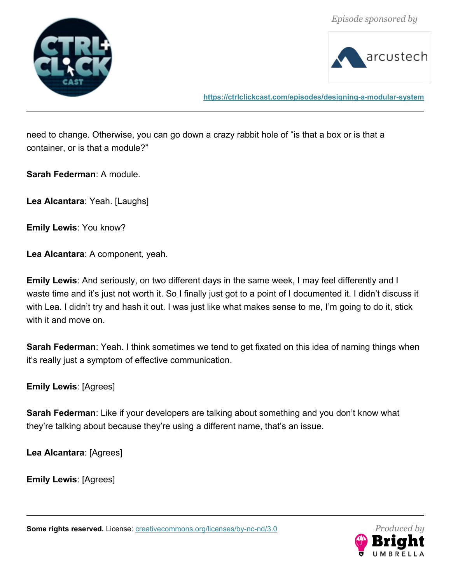



**<https://ctrlclickcast.com/episodes/designing-a-modular-system>**

need to change. Otherwise, you can go down a crazy rabbit hole of "is that a box or is that a container, or is that a module?"

**Sarah Federman**: A module.

**Lea Alcantara**: Yeah. [Laughs]

**Emily Lewis**: You know?

**Lea Alcantara**: A component, yeah.

**Emily Lewis**: And seriously, on two different days in the same week, I may feel differently and I waste time and it's just not worth it. So I finally just got to a point of I documented it. I didn't discuss it with Lea. I didn't try and hash it out. I was just like what makes sense to me, I'm going to do it, stick with it and move on.

**Sarah Federman**: Yeah. I think sometimes we tend to get fixated on this idea of naming things when it's really just a symptom of effective communication.

**Emily Lewis**: [Agrees]

**Sarah Federman**: Like if your developers are talking about something and you don't know what they're talking about because they're using a different name, that's an issue.

**Lea Alcantara**: [Agrees]

**Emily Lewis**: [Agrees]

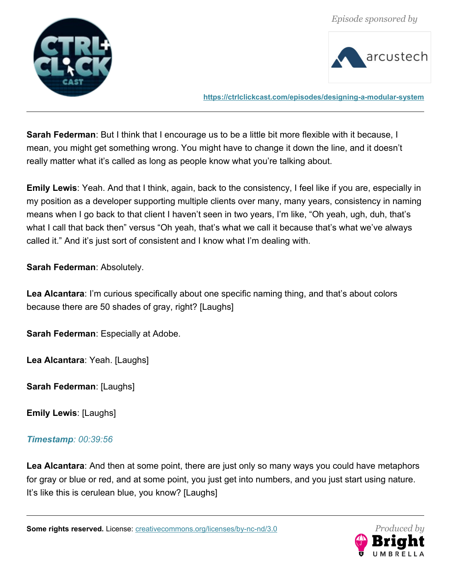



**<https://ctrlclickcast.com/episodes/designing-a-modular-system>**

**Sarah Federman**: But I think that I encourage us to be a little bit more flexible with it because, I mean, you might get something wrong. You might have to change it down the line, and it doesn't really matter what it's called as long as people know what you're talking about.

**Emily Lewis**: Yeah. And that I think, again, back to the consistency, I feel like if you are, especially in my position as a developer supporting multiple clients over many, many years, consistency in naming means when I go back to that client I haven't seen in two years, I'm like, "Oh yeah, ugh, duh, that's what I call that back then" versus "Oh yeah, that's what we call it because that's what we've always called it." And it's just sort of consistent and I know what I'm dealing with.

**Sarah Federman**: Absolutely.

**Lea Alcantara**: I'm curious specifically about one specific naming thing, and that's about colors because there are 50 shades of gray, right? [Laughs]

**Sarah Federman**: Especially at Adobe.

**Lea Alcantara**: Yeah. [Laughs]

**Sarah Federman**: [Laughs]

**Emily Lewis**: [Laughs]

# *Timestamp: 00:39:56*

**Lea Alcantara**: And then at some point, there are just only so many ways you could have metaphors for gray or blue or red, and at some point, you just get into numbers, and you just start using nature. It's like this is cerulean blue, you know? [Laughs]

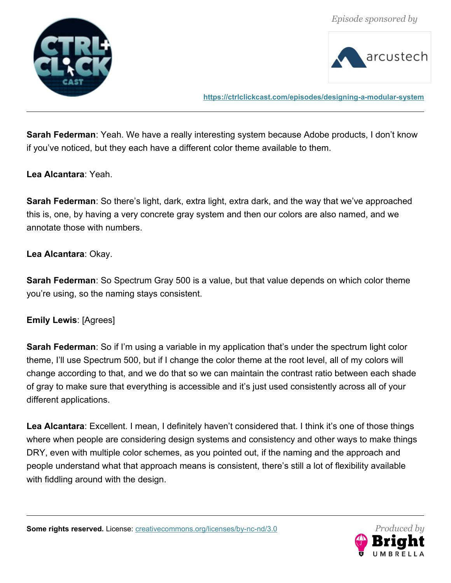



**<https://ctrlclickcast.com/episodes/designing-a-modular-system>**

**Sarah Federman**: Yeah. We have a really interesting system because Adobe products, I don't know if you've noticed, but they each have a different color theme available to them.

**Lea Alcantara**: Yeah.

**Sarah Federman**: So there's light, dark, extra light, extra dark, and the way that we've approached this is, one, by having a very concrete gray system and then our colors are also named, and we annotate those with numbers.

### **Lea Alcantara**: Okay.

**Sarah Federman**: So Spectrum Gray 500 is a value, but that value depends on which color theme you're using, so the naming stays consistent.

#### **Emily Lewis**: [Agrees]

**Sarah Federman**: So if I'm using a variable in my application that's under the spectrum light color theme, I'll use Spectrum 500, but if I change the color theme at the root level, all of my colors will change according to that, and we do that so we can maintain the contrast ratio between each shade of gray to make sure that everything is accessible and it's just used consistently across all of your different applications.

**Lea Alcantara**: Excellent. I mean, I definitely haven't considered that. I think it's one of those things where when people are considering design systems and consistency and other ways to make things DRY, even with multiple color schemes, as you pointed out, if the naming and the approach and people understand what that approach means is consistent, there's still a lot of flexibility available with fiddling around with the design.

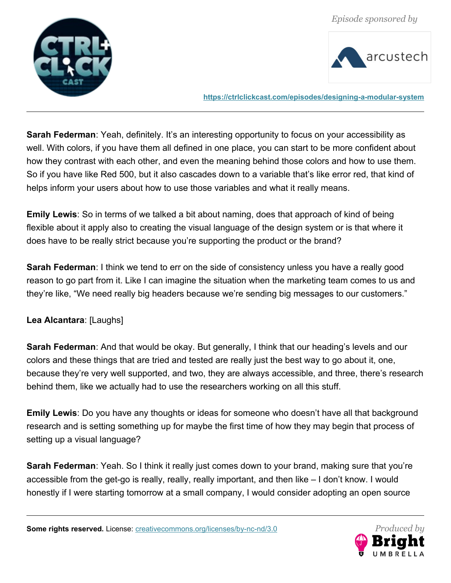



**<https://ctrlclickcast.com/episodes/designing-a-modular-system>**

**Sarah Federman**: Yeah, definitely. It's an interesting opportunity to focus on your accessibility as well. With colors, if you have them all defined in one place, you can start to be more confident about how they contrast with each other, and even the meaning behind those colors and how to use them. So if you have like Red 500, but it also cascades down to a variable that's like error red, that kind of helps inform your users about how to use those variables and what it really means.

**Emily Lewis**: So in terms of we talked a bit about naming, does that approach of kind of being flexible about it apply also to creating the visual language of the design system or is that where it does have to be really strict because you're supporting the product or the brand?

**Sarah Federman**: I think we tend to err on the side of consistency unless you have a really good reason to go part from it. Like I can imagine the situation when the marketing team comes to us and they're like, "We need really big headers because we're sending big messages to our customers."

# **Lea Alcantara**: [Laughs]

**Sarah Federman**: And that would be okay. But generally, I think that our heading's levels and our colors and these things that are tried and tested are really just the best way to go about it, one, because they're very well supported, and two, they are always accessible, and three, there's research behind them, like we actually had to use the researchers working on all this stuff.

**Emily Lewis**: Do you have any thoughts or ideas for someone who doesn't have all that background research and is setting something up for maybe the first time of how they may begin that process of setting up a visual language?

**Sarah Federman**: Yeah. So I think it really just comes down to your brand, making sure that you're accessible from the get-go is really, really, really important, and then like – I don't know. I would honestly if I were starting tomorrow at a small company, I would consider adopting an open source

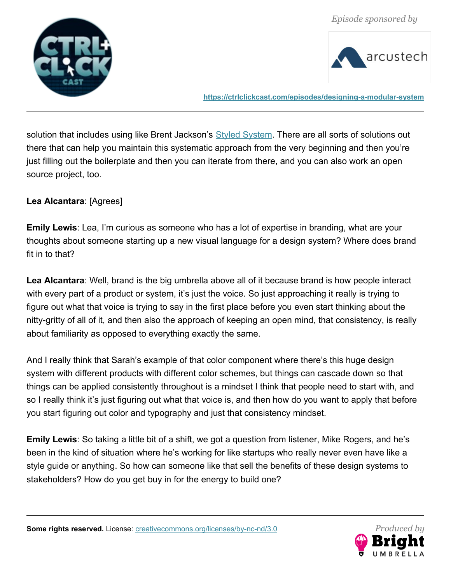



**<https://ctrlclickcast.com/episodes/designing-a-modular-system>**

solution that includes using like Brent Jackson's **Styled System.** There are all sorts of solutions out there that can help you maintain this systematic approach from the very beginning and then you're just filling out the boilerplate and then you can iterate from there, and you can also work an open source project, too.

# **Lea Alcantara**: [Agrees]

**Emily Lewis**: Lea, I'm curious as someone who has a lot of expertise in branding, what are your thoughts about someone starting up a new visual language for a design system? Where does brand fit in to that?

**Lea Alcantara**: Well, brand is the big umbrella above all of it because brand is how people interact with every part of a product or system, it's just the voice. So just approaching it really is trying to figure out what that voice is trying to say in the first place before you even start thinking about the nitty-gritty of all of it, and then also the approach of keeping an open mind, that consistency, is really about familiarity as opposed to everything exactly the same.

And I really think that Sarah's example of that color component where there's this huge design system with different products with different color schemes, but things can cascade down so that things can be applied consistently throughout is a mindset I think that people need to start with, and so I really think it's just figuring out what that voice is, and then how do you want to apply that before you start figuring out color and typography and just that consistency mindset.

**Emily Lewis**: So taking a little bit of a shift, we got a question from listener, Mike Rogers, and he's been in the kind of situation where he's working for like startups who really never even have like a style guide or anything. So how can someone like that sell the benefits of these design systems to stakeholders? How do you get buy in for the energy to build one?

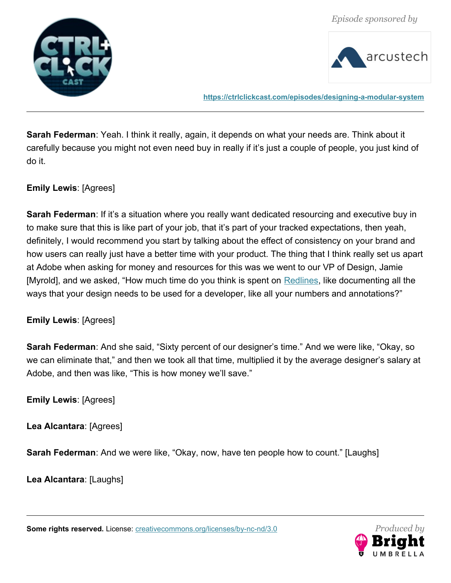



**<https://ctrlclickcast.com/episodes/designing-a-modular-system>**

**Sarah Federman**: Yeah. I think it really, again, it depends on what your needs are. Think about it carefully because you might not even need buy in really if it's just a couple of people, you just kind of do it.

# **Emily Lewis**: [Agrees]

**Sarah Federman**: If it's a situation where you really want dedicated resourcing and executive buy in to make sure that this is like part of your job, that it's part of your tracked expectations, then yeah, definitely, I would recommend you start by talking about the effect of consistency on your brand and how users can really just have a better time with your product. The thing that I think really set us apart at Adobe when asking for money and resources for this was we went to our VP of Design, Jamie [Myrold], and we asked, "How much time do you think is spent on [Redlines,](http://intimiste.net/2018/05/07/design-assets-redlines-for-development-teams/) like documenting all the ways that your design needs to be used for a developer, like all your numbers and annotations?"

#### **Emily Lewis**: [Agrees]

**Sarah Federman**: And she said, "Sixty percent of our designer's time." And we were like, "Okay, so we can eliminate that," and then we took all that time, multiplied it by the average designer's salary at Adobe, and then was like, "This is how money we'll save."

**Emily Lewis**: [Agrees]

**Lea Alcantara**: [Agrees]

**Sarah Federman**: And we were like, "Okay, now, have ten people how to count." [Laughs]

**Lea Alcantara**: [Laughs]

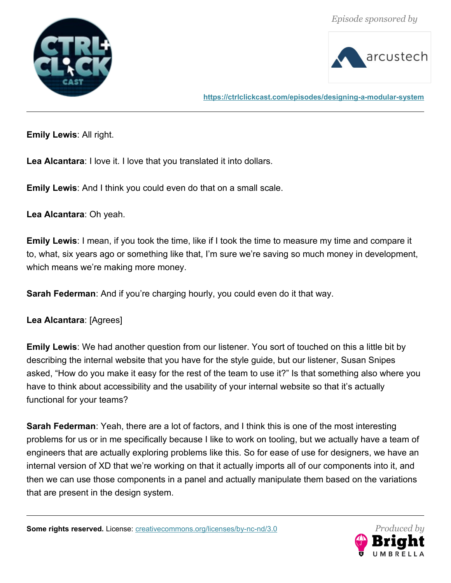



**<https://ctrlclickcast.com/episodes/designing-a-modular-system>**

**Emily Lewis**: All right.

**Lea Alcantara**: I love it. I love that you translated it into dollars.

**Emily Lewis**: And I think you could even do that on a small scale.

**Lea Alcantara**: Oh yeah.

**Emily Lewis**: I mean, if you took the time, like if I took the time to measure my time and compare it to, what, six years ago or something like that, I'm sure we're saving so much money in development, which means we're making more money.

**Sarah Federman**: And if you're charging hourly, you could even do it that way.

**Lea Alcantara**: [Agrees]

**Emily Lewis**: We had another question from our listener. You sort of touched on this a little bit by describing the internal website that you have for the style guide, but our listener, Susan Snipes asked, "How do you make it easy for the rest of the team to use it?" Is that something also where you have to think about accessibility and the usability of your internal website so that it's actually functional for your teams?

**Sarah Federman**: Yeah, there are a lot of factors, and I think this is one of the most interesting problems for us or in me specifically because I like to work on tooling, but we actually have a team of engineers that are actually exploring problems like this. So for ease of use for designers, we have an internal version of XD that we're working on that it actually imports all of our components into it, and then we can use those components in a panel and actually manipulate them based on the variations that are present in the design system.

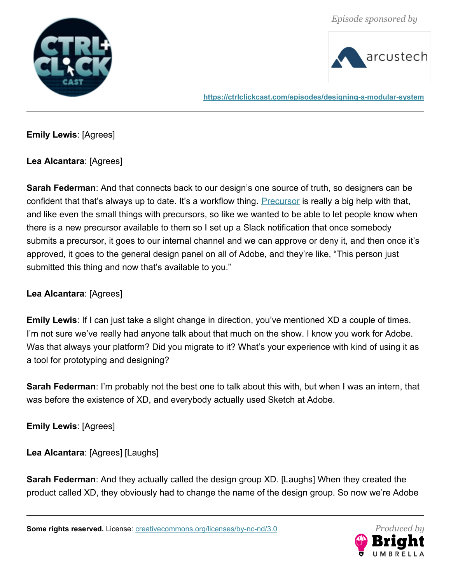



**<https://ctrlclickcast.com/episodes/designing-a-modular-system>**

**Emily Lewis**: [Agrees]

**Lea Alcantara**: [Agrees]

**Sarah Federman**: And that connects back to our design's one source of truth, so designers can be confident that that's always up to date. It's a workflow thing. [Precursor](https://precursorapp.com/) is really a big help with that, and like even the small things with precursors, so like we wanted to be able to let people know when there is a new precursor available to them so I set up a Slack notification that once somebody submits a precursor, it goes to our internal channel and we can approve or deny it, and then once it's approved, it goes to the general design panel on all of Adobe, and they're like, "This person just submitted this thing and now that's available to you."

# **Lea Alcantara**: [Agrees]

**Emily Lewis**: If I can just take a slight change in direction, you've mentioned XD a couple of times. I'm not sure we've really had anyone talk about that much on the show. I know you work for Adobe. Was that always your platform? Did you migrate to it? What's your experience with kind of using it as a tool for prototyping and designing?

**Sarah Federman**: I'm probably not the best one to talk about this with, but when I was an intern, that was before the existence of XD, and everybody actually used Sketch at Adobe.

**Emily Lewis**: [Agrees]

**Lea Alcantara**: [Agrees] [Laughs]

**Sarah Federman**: And they actually called the design group XD. [Laughs] When they created the product called XD, they obviously had to change the name of the design group. So now we're Adobe

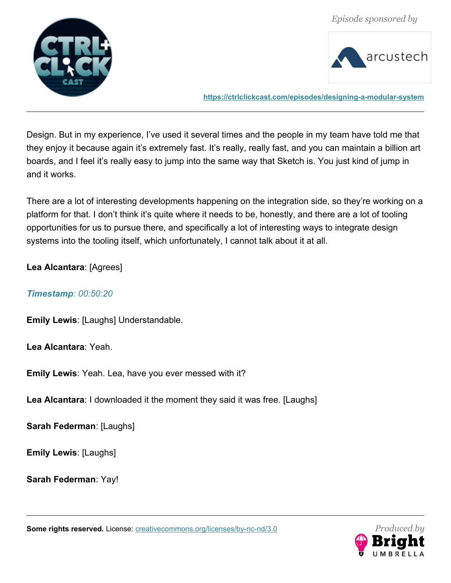



**<https://ctrlclickcast.com/episodes/designing-a-modular-system>**

Design. But in my experience, I've used it several times and the people in my team have told me that they enjoy it because again it's extremely fast. It's really, really fast, and you can maintain a billion art boards, and I feel it's really easy to jump into the same way that Sketch is. You just kind of jump in and it works.

There are a lot of interesting developments happening on the integration side, so they're working on a platform for that. I don't think it's quite where it needs to be, honestly, and there are a lot of tooling opportunities for us to pursue there, and specifically a lot of interesting ways to integrate design systems into the tooling itself, which unfortunately, I cannot talk about it at all.

# **Lea Alcantara**: [Agrees]

#### *Timestamp: 00:50:20*

**Emily Lewis**: [Laughs] Understandable.

**Lea Alcantara**: Yeah.

**Emily Lewis**: Yeah. Lea, have you ever messed with it?

**Lea Alcantara**: I downloaded it the moment they said it was free. [Laughs]

**Sarah Federman**: [Laughs]

**Emily Lewis**: [Laughs]

**Sarah Federman**: Yay!

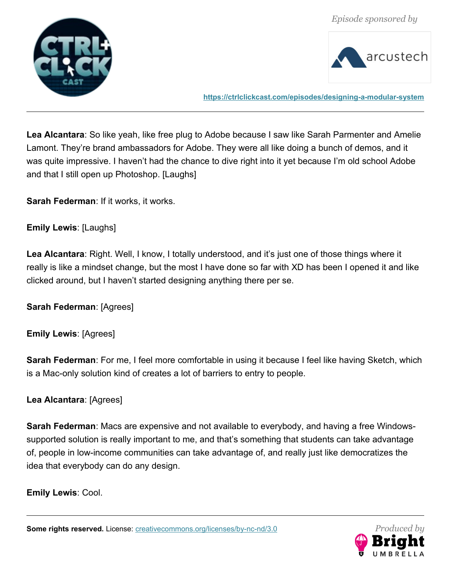



**<https://ctrlclickcast.com/episodes/designing-a-modular-system>**

**Lea Alcantara**: So like yeah, like free plug to Adobe because I saw like Sarah Parmenter and Amelie Lamont. They're brand ambassadors for Adobe. They were all like doing a bunch of demos, and it was quite impressive. I haven't had the chance to dive right into it yet because I'm old school Adobe and that I still open up Photoshop. [Laughs]

**Sarah Federman**: If it works, it works.

**Emily Lewis**: [Laughs]

**Lea Alcantara**: Right. Well, I know, I totally understood, and it's just one of those things where it really is like a mindset change, but the most I have done so far with XD has been I opened it and like clicked around, but I haven't started designing anything there per se.

**Sarah Federman**: [Agrees]

**Emily Lewis**: [Agrees]

**Sarah Federman**: For me, I feel more comfortable in using it because I feel like having Sketch, which is a Mac-only solution kind of creates a lot of barriers to entry to people.

# **Lea Alcantara**: [Agrees]

**Sarah Federman**: Macs are expensive and not available to everybody, and having a free Windowssupported solution is really important to me, and that's something that students can take advantage of, people in low-income communities can take advantage of, and really just like democratizes the idea that everybody can do any design.

**Emily Lewis**: Cool.

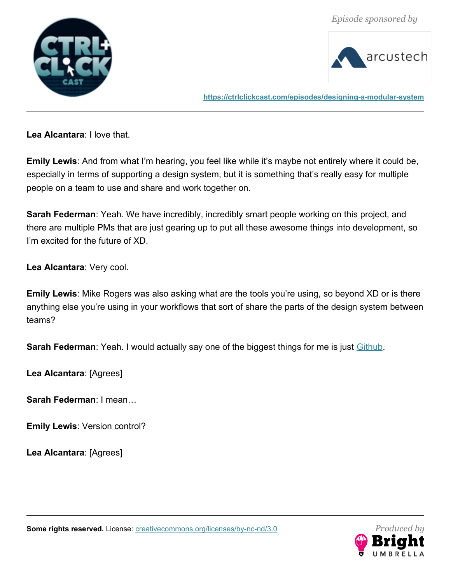

**<https://ctrlclickcast.com/episodes/designing-a-modular-system>**

**Lea Alcantara**: I love that.

**Emily Lewis**: And from what I'm hearing, you feel like while it's maybe not entirely where it could be, especially in terms of supporting a design system, but it is something that's really easy for multiple people on a team to use and share and work together on.

**Sarah Federman**: Yeah. We have incredibly, incredibly smart people working on this project, and there are multiple PMs that are just gearing up to put all these awesome things into development, so I'm excited for the future of XD.

**Lea Alcantara**: Very cool.

**Emily Lewis**: Mike Rogers was also asking what are the tools you're using, so beyond XD or is there anything else you're using in your workflows that sort of share the parts of the design system between teams?

**Sarah Federman**: Yeah. I would actually say one of the biggest things for me is just *Github*.

**Lea Alcantara**: [Agrees]

**Sarah Federman**: I mean…

**Emily Lewis**: Version control?

**Lea Alcantara**: [Agrees]

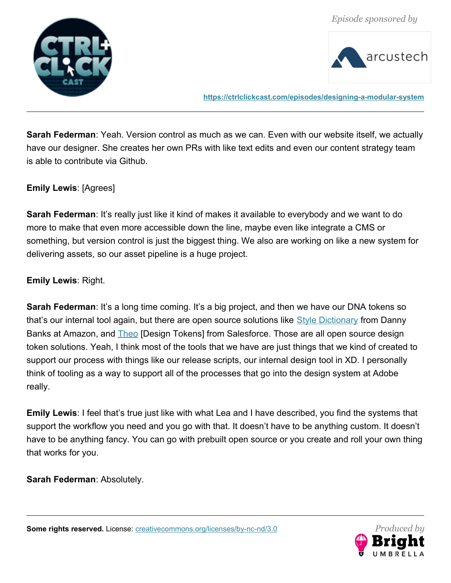



**<https://ctrlclickcast.com/episodes/designing-a-modular-system>**

**Sarah Federman**: Yeah. Version control as much as we can. Even with our website itself, we actually have our designer. She creates her own PRs with like text edits and even our content strategy team is able to contribute via Github.

### **Emily Lewis**: [Agrees]

**Sarah Federman**: It's really just like it kind of makes it available to everybody and we want to do more to make that even more accessible down the line, maybe even like integrate a CMS or something, but version control is just the biggest thing. We also are working on like a new system for delivering assets, so our asset pipeline is a huge project.

**Emily Lewis**: Right.

**Sarah Federman**: It's a long time coming. It's a big project, and then we have our DNA tokens so that's our internal tool again, but there are open source solutions like [Style Dictionary](https://amzn.github.io/style-dictionary/#/) from Danny Banks at Amazon, and **Theo [Design Tokens] from Salesforce**. Those are all open source design token solutions. Yeah, I think most of the tools that we have are just things that we kind of created to support our process with things like our release scripts, our internal design tool in XD. I personally think of tooling as a way to support all of the processes that go into the design system at Adobe really.

**Emily Lewis**: I feel that's true just like with what Lea and I have described, you find the systems that support the workflow you need and you go with that. It doesn't have to be anything custom. It doesn't have to be anything fancy. You can go with prebuilt open source or you create and roll your own thing that works for you.

**Sarah Federman**: Absolutely.

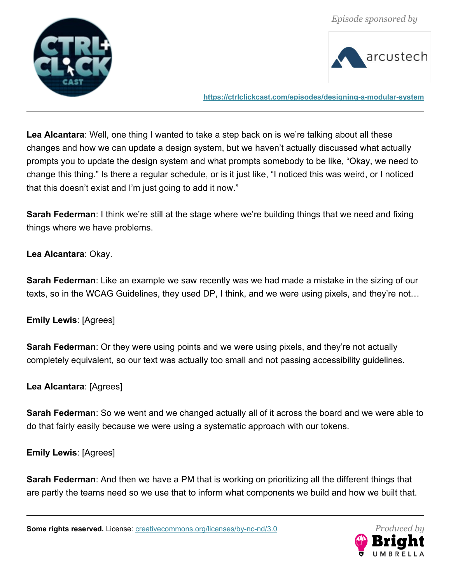



**<https://ctrlclickcast.com/episodes/designing-a-modular-system>**

**Lea Alcantara**: Well, one thing I wanted to take a step back on is we're talking about all these changes and how we can update a design system, but we haven't actually discussed what actually prompts you to update the design system and what prompts somebody to be like, "Okay, we need to change this thing." Is there a regular schedule, or is it just like, "I noticed this was weird, or I noticed that this doesn't exist and I'm just going to add it now."

**Sarah Federman**: I think we're still at the stage where we're building things that we need and fixing things where we have problems.

# **Lea Alcantara**: Okay.

**Sarah Federman**: Like an example we saw recently was we had made a mistake in the sizing of our texts, so in the WCAG Guidelines, they used DP, I think, and we were using pixels, and they're not…

**Emily Lewis**: [Agrees]

**Sarah Federman**: Or they were using points and we were using pixels, and they're not actually completely equivalent, so our text was actually too small and not passing accessibility guidelines.

**Lea Alcantara**: [Agrees]

**Sarah Federman**: So we went and we changed actually all of it across the board and we were able to do that fairly easily because we were using a systematic approach with our tokens.

**Emily Lewis**: [Agrees]

**Sarah Federman**: And then we have a PM that is working on prioritizing all the different things that are partly the teams need so we use that to inform what components we build and how we built that.

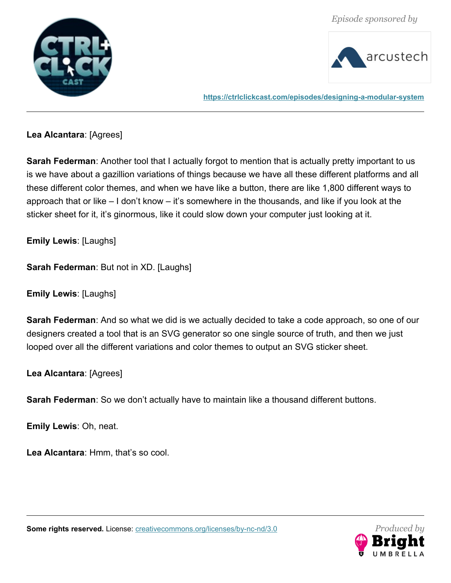



**<https://ctrlclickcast.com/episodes/designing-a-modular-system>**

**Lea Alcantara**: [Agrees]

**Sarah Federman**: Another tool that I actually forgot to mention that is actually pretty important to us is we have about a gazillion variations of things because we have all these different platforms and all these different color themes, and when we have like a button, there are like 1,800 different ways to approach that or like – I don't know – it's somewhere in the thousands, and like if you look at the sticker sheet for it, it's ginormous, like it could slow down your computer just looking at it.

**Emily Lewis**: [Laughs]

**Sarah Federman**: But not in XD. [Laughs]

**Emily Lewis**: [Laughs]

**Sarah Federman**: And so what we did is we actually decided to take a code approach, so one of our designers created a tool that is an SVG generator so one single source of truth, and then we just looped over all the different variations and color themes to output an SVG sticker sheet.

**Lea Alcantara**: [Agrees]

**Sarah Federman**: So we don't actually have to maintain like a thousand different buttons.

**Emily Lewis**: Oh, neat.

**Lea Alcantara**: Hmm, that's so cool.

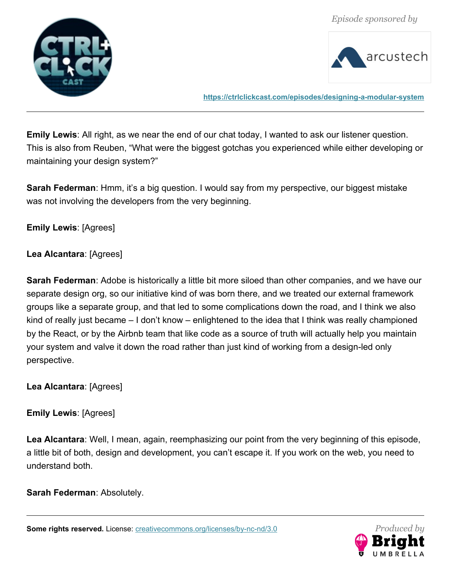



**<https://ctrlclickcast.com/episodes/designing-a-modular-system>**

**Emily Lewis**: All right, as we near the end of our chat today, I wanted to ask our listener question. This is also from Reuben, "What were the biggest gotchas you experienced while either developing or maintaining your design system?"

**Sarah Federman**: Hmm, it's a big question. I would say from my perspective, our biggest mistake was not involving the developers from the very beginning.

**Emily Lewis**: [Agrees]

# **Lea Alcantara**: [Agrees]

**Sarah Federman**: Adobe is historically a little bit more siloed than other companies, and we have our separate design org, so our initiative kind of was born there, and we treated our external framework groups like a separate group, and that led to some complications down the road, and I think we also kind of really just became – I don't know – enlightened to the idea that I think was really championed by the React, or by the Airbnb team that like code as a source of truth will actually help you maintain your system and valve it down the road rather than just kind of working from a design-led only perspective.

**Lea Alcantara**: [Agrees]

**Emily Lewis**: [Agrees]

**Lea Alcantara**: Well, I mean, again, reemphasizing our point from the very beginning of this episode, a little bit of both, design and development, you can't escape it. If you work on the web, you need to understand both.

**Sarah Federman**: Absolutely.

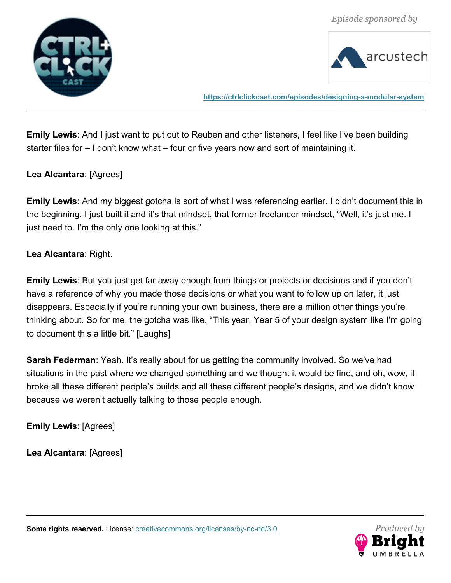

**<https://ctrlclickcast.com/episodes/designing-a-modular-system>**

**Emily Lewis**: And I just want to put out to Reuben and other listeners, I feel like I've been building starter files for – I don't know what – four or five years now and sort of maintaining it.

# **Lea Alcantara**: [Agrees]

**Emily Lewis**: And my biggest gotcha is sort of what I was referencing earlier. I didn't document this in the beginning. I just built it and it's that mindset, that former freelancer mindset, "Well, it's just me. I just need to. I'm the only one looking at this."

# **Lea Alcantara**: Right.

**Emily Lewis**: But you just get far away enough from things or projects or decisions and if you don't have a reference of why you made those decisions or what you want to follow up on later, it just disappears. Especially if you're running your own business, there are a million other things you're thinking about. So for me, the gotcha was like, "This year, Year 5 of your design system like I'm going to document this a little bit." [Laughs]

**Sarah Federman**: Yeah. It's really about for us getting the community involved. So we've had situations in the past where we changed something and we thought it would be fine, and oh, wow, it broke all these different people's builds and all these different people's designs, and we didn't know because we weren't actually talking to those people enough.

**Emily Lewis**: [Agrees]

**Lea Alcantara**: [Agrees]

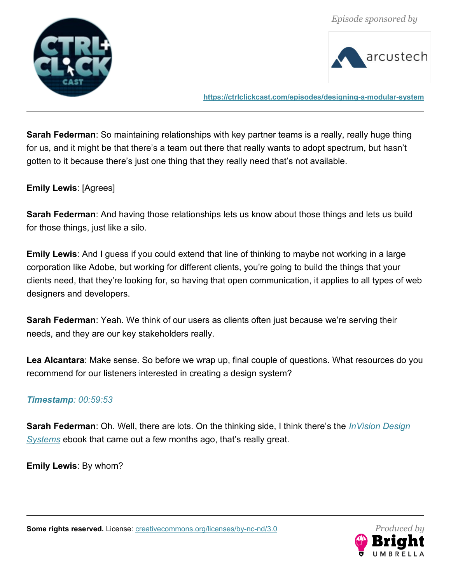



**<https://ctrlclickcast.com/episodes/designing-a-modular-system>**

**Sarah Federman**: So maintaining relationships with key partner teams is a really, really huge thing for us, and it might be that there's a team out there that really wants to adopt spectrum, but hasn't gotten to it because there's just one thing that they really need that's not available.

**Emily Lewis**: [Agrees]

**Sarah Federman**: And having those relationships lets us know about those things and lets us build for those things, just like a silo.

**Emily Lewis**: And I guess if you could extend that line of thinking to maybe not working in a large corporation like Adobe, but working for different clients, you're going to build the things that your clients need, that they're looking for, so having that open communication, it applies to all types of web designers and developers.

**Sarah Federman**: Yeah. We think of our users as clients often just because we're serving their needs, and they are our key stakeholders really.

**Lea Alcantara**: Make sense. So before we wrap up, final couple of questions. What resources do you recommend for our listeners interested in creating a design system?

# *Timestamp: 00:59:53*

**Sarah Federman**: Oh. Well, there are lots. On the thinking side, I think there's the *[InVision Design](https://www.designbetter.co/design-systems-handbook)  [Systems](https://www.designbetter.co/design-systems-handbook)* ebook that came out a few months ago, that's really great.

**Emily Lewis**: By whom?



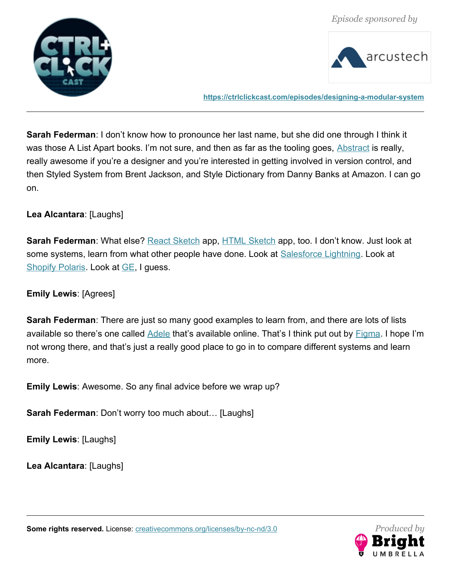



**<https://ctrlclickcast.com/episodes/designing-a-modular-system>**

**Sarah Federman**: I don't know how to pronounce her last name, but she did one through I think it was those A List Apart books. I'm not sure, and then as far as the tooling goes, [Abstract](https://www.goabstract.com/) is really, really awesome if you're a designer and you're interested in getting involved in version control, and then Styled System from Brent Jackson, and Style Dictionary from Danny Banks at Amazon. I can go on.

**Lea Alcantara**: [Laughs]

**Sarah Federman**: What else? [React Sketch](https://github.com/airbnb/react-sketchapp) app, [HTML Sketch](https://github.com/brainly/html-sketchapp) app, too. I don't know. Just look at some systems, learn from what other people have done. Look at [Salesforce Lightning.](https://www.lightningdesignsystem.com/) Look at [Shopify Polaris.](https://polaris.shopify.com/) Look at [GE,](https://medium.com/ge-design/ges-predix-design-system-8236d47b0891) I guess.

**Emily Lewis**: [Agrees]

**Sarah Federman**: There are just so many good examples to learn from, and there are lots of lists available so there's one called [Adele](https://adele.uxpin.com/) that's available online. That's I think put out by [Figma.](https://www.figma.com/) I hope I'm not wrong there, and that's just a really good place to go in to compare different systems and learn more.

**Emily Lewis**: Awesome. So any final advice before we wrap up?

**Sarah Federman**: Don't worry too much about… [Laughs]

**Emily Lewis**: [Laughs]

**Lea Alcantara**: [Laughs]

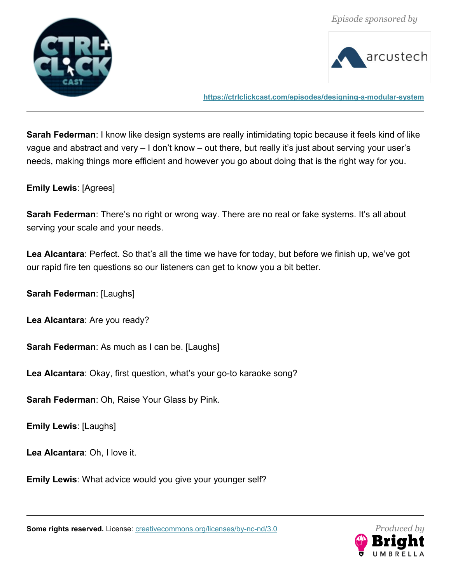



**<https://ctrlclickcast.com/episodes/designing-a-modular-system>**

**Sarah Federman**: I know like design systems are really intimidating topic because it feels kind of like vague and abstract and very – I don't know – out there, but really it's just about serving your user's needs, making things more efficient and however you go about doing that is the right way for you.

**Emily Lewis**: [Agrees]

**Sarah Federman**: There's no right or wrong way. There are no real or fake systems. It's all about serving your scale and your needs.

**Lea Alcantara**: Perfect. So that's all the time we have for today, but before we finish up, we've got our rapid fire ten questions so our listeners can get to know you a bit better.

**Sarah Federman**: [Laughs]

**Lea Alcantara**: Are you ready?

**Sarah Federman**: As much as I can be. [Laughs]

**Lea Alcantara**: Okay, first question, what's your go-to karaoke song?

**Sarah Federman**: Oh, Raise Your Glass by Pink.

**Emily Lewis**: [Laughs]

**Lea Alcantara**: Oh, I love it.

**Emily Lewis**: What advice would you give your younger self?



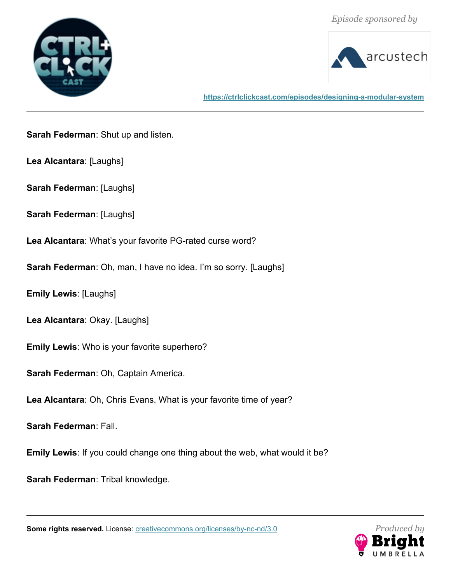



**<https://ctrlclickcast.com/episodes/designing-a-modular-system>**

**Sarah Federman**: Shut up and listen.

**Lea Alcantara**: [Laughs]

**Sarah Federman**: [Laughs]

**Sarah Federman**: [Laughs]

**Lea Alcantara**: What's your favorite PG-rated curse word?

**Sarah Federman**: Oh, man, I have no idea. I'm so sorry. [Laughs]

**Emily Lewis**: [Laughs]

**Lea Alcantara**: Okay. [Laughs]

**Emily Lewis**: Who is your favorite superhero?

**Sarah Federman**: Oh, Captain America.

**Lea Alcantara**: Oh, Chris Evans. What is your favorite time of year?

**Sarah Federman**: Fall.

**Emily Lewis**: If you could change one thing about the web, what would it be?

**Sarah Federman**: Tribal knowledge.

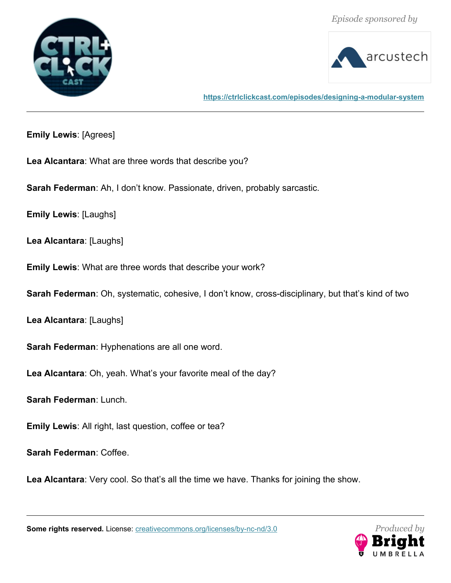



**<https://ctrlclickcast.com/episodes/designing-a-modular-system>**

**Emily Lewis**: [Agrees]

**Lea Alcantara**: What are three words that describe you?

**Sarah Federman**: Ah, I don't know. Passionate, driven, probably sarcastic.

**Emily Lewis**: [Laughs]

**Lea Alcantara**: [Laughs]

**Emily Lewis**: What are three words that describe your work?

**Sarah Federman**: Oh, systematic, cohesive, I don't know, cross-disciplinary, but that's kind of two

**Lea Alcantara**: [Laughs]

**Sarah Federman**: Hyphenations are all one word.

**Lea Alcantara**: Oh, yeah. What's your favorite meal of the day?

**Sarah Federman**: Lunch.

**Emily Lewis**: All right, last question, coffee or tea?

**Sarah Federman**: Coffee.

Lea Alcantara: Very cool. So that's all the time we have. Thanks for joining the show.

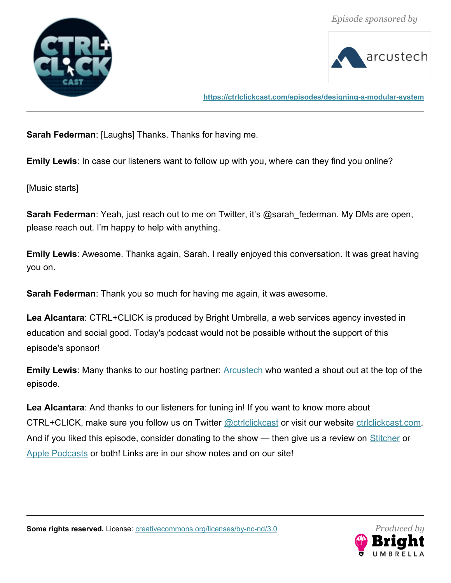



**<https://ctrlclickcast.com/episodes/designing-a-modular-system>**

**Sarah Federman**: [Laughs] Thanks. Thanks for having me.

**Emily Lewis**: In case our listeners want to follow up with you, where can they find you online?

[Music starts]

**Sarah Federman**: Yeah, just reach out to me on Twitter, it's @sarah\_federman. My DMs are open, please reach out. I'm happy to help with anything.

**Emily Lewis**: Awesome. Thanks again, Sarah. I really enjoyed this conversation. It was great having you on.

**Sarah Federman**: Thank you so much for having me again, it was awesome.

**Lea Alcantara**: CTRL+CLICK is produced by Bright Umbrella, a web services agency invested in education and social good. Today's podcast would not be possible without the support of this episode's sponsor!

**Emily Lewis**: Many thanks to our hosting partner: **Arcustech** who wanted a shout out at the top of the episode.

**Lea Alcantara**: And thanks to our listeners for tuning in! If you want to know more about CTRL+CLICK, make sure you follow us on Twitter @ctriclickcast or visit our website ctriclickcast.com. And if you liked this episode, consider donating to the show — then give us a review on [Stitcher](http://www.stitcher.com/s?fid=49341&refid=stpr) or [Apple Podcasts](https://itunes.apple.com/us/podcast/ctrl+click-cast/id446900959) or both! Links are in our show notes and on our site!